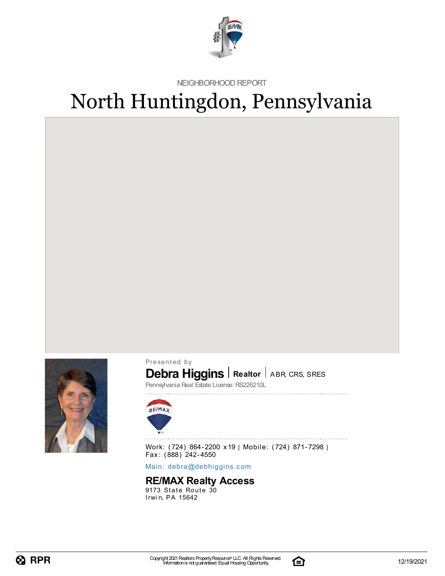

NEIGHBORHOOD REPORT

# North Huntingdon, Pennsylvania



Presented by

### **Debra Higgins** | Realtor | ABR, CRS, SRES

Pennsylvania Real Estate License: RS226210L



Work: (724) 864-2200 x19 | Mobile: (724) 871-7298 | Fax: (888) 242-4550

Main: debra[@](mailto:debra@debhiggins.com)debhiggins.com

### **RE/MAX Realty Access**

 $9173$  State Route  $30$ Irwin, PA 15642

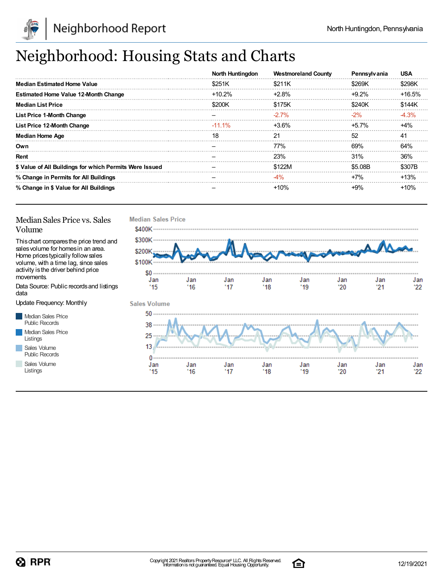

## Neighborhood: Housing Stats and Charts

|                                                         | North Huntingdon | <b>Westmoreland County</b> | Pennsylvania | <b>USA</b> |
|---------------------------------------------------------|------------------|----------------------------|--------------|------------|
| <b>Median Estimated Home Value</b>                      | \$251K           | \$211K                     | \$269K       | \$298K     |
| <b>Estimated Home Value 12-Month Change</b>             | $+10.2\%$        | $+2.8%$                    | $+9.2%$      | $+16.5%$   |
| <b>Median List Price</b>                                | \$200K           | \$175K                     | \$240K       | \$144K     |
| <b>List Price 1-Month Change</b>                        |                  | $-2.7\%$                   | $-2\%$       | $-4.3%$    |
| List Price 12-Month Change                              | $-11.1\%$        | $+3.6\%$                   | $+5.7\%$     | $+4%$      |
| <b>Median Home Age</b>                                  | 18               | 21                         | 52           | 41         |
| Own                                                     |                  | 77%                        | 69%          | 64%        |
| Rent                                                    |                  | 23%                        | 31%          | 36%        |
| \$ Value of All Buildings for which Permits Were Issued |                  | \$122M                     | \$5.08B      | \$307B     |
| % Change in Permits for All Buildings                   |                  | -4%                        | $+7%$        | $+13%$     |
| % Change in \$ Value for All Buildings                  |                  | $+10%$                     | $+9\%$       | $+10%$     |

#### Median Sales Price vs. Sales Volume

Thischart comparesthe price trend and salesvolume for homesin an area. Home pricestypically followsales volume, with a time lag, since sales activity isthe driver behind price movements.

Data Source: Public recordsand listings data

Update Frequency: Monthly

Median Sales Price Public Records Median Sales Price Listings Sales Volume Public Records

Sales Volume

Listings



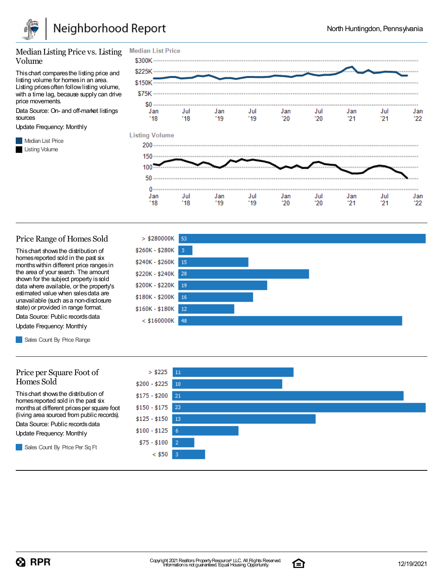

#### Median Listing Price vs. Listing Volume

Thischart comparesthe listing price and listing volume for homesin an area. Listing prices often follow listing volume, with a time lag, because supply can drive price movements.

Data Source: On- and off-market listings sources

Update Frequency: Monthly

**Median List Price** Listing Volume



#### Price Range of Homes Sold

Thischart showsthe distribution of homes reported sold in the past six monthswithin different price rangesin the area of your search. The amount shown for the subject property is sold data where available, or the property's estimated value when salesdata are unavailable (such asa non-disclosure state) or provided in range format.

Data Source: Public records data Update Frequency: Monthly

Sales Count By Price Range

#### Price per Square Foot of Homes Sold

Thischart showsthe distribution of homes reported sold in the past six monthsat different pricesper square foot (living area sourced from public records).

Data Source: Public records data

Update Frequency: Monthly

Sales Count By Price Per Sq Ft





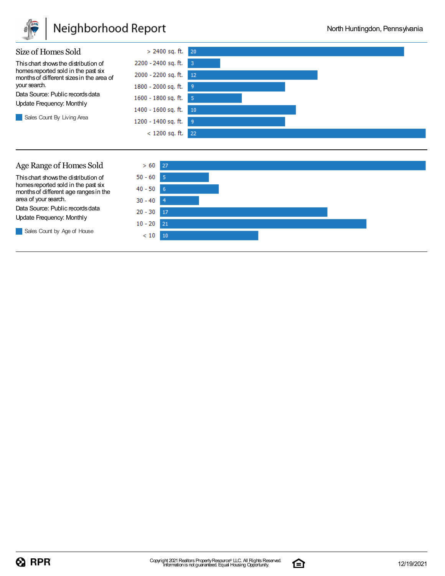

### Neighborhood Report





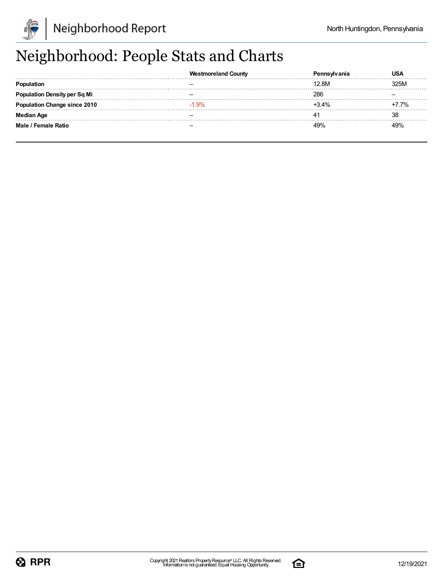

## Neighborhood: People Stats and Charts

|                                     | <b>Westmoreland County</b> |         | JSA  |
|-------------------------------------|----------------------------|---------|------|
|                                     |                            | 12.8M   | 325M |
| Population Density per Sq Mi        |                            | 286     |      |
| <b>Population Change since 2010</b> | $-1.9%$                    | $+3.4%$ | 7.7% |
| <b>Median Age</b>                   |                            |         |      |
| Male / Female Ratio                 |                            |         |      |

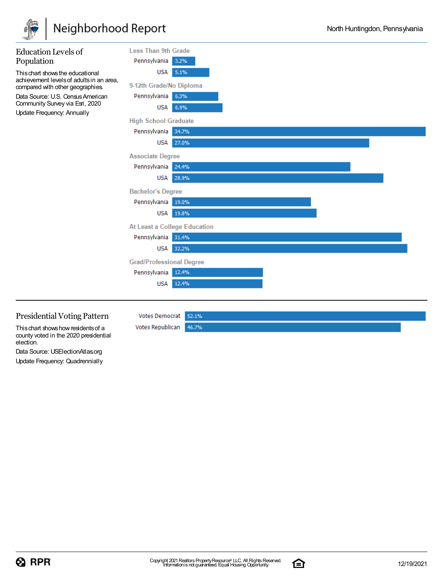

## Neighborhood Report

| <b>Education Levels of</b><br>Population                                                           | <b>Less Than 9th Grade</b><br>Pennsylvania<br>3.2% |  |
|----------------------------------------------------------------------------------------------------|----------------------------------------------------|--|
| This chart shows the educational<br>achievement levels of adults in an area,                       | USA 5.1%                                           |  |
| compared with other geographies.                                                                   | 9-12th Grade/No Diploma                            |  |
| Data Source: U.S. Census American<br>Community Survey via Esri, 2020<br>Update Frequency: Annually | Pennsylvania<br>6.3%                               |  |
|                                                                                                    | USA<br>6.9%                                        |  |
|                                                                                                    | <b>High School Graduate</b>                        |  |
|                                                                                                    | Pennsylvania 34.7%                                 |  |
|                                                                                                    | <b>USA</b><br>27.0%                                |  |
|                                                                                                    | <b>Associate Degree</b>                            |  |
|                                                                                                    | Pennsylvania<br>24.4%                              |  |
|                                                                                                    | USA<br>28.9%                                       |  |
|                                                                                                    | <b>Bachelor's Degree</b>                           |  |
|                                                                                                    | Pennsylvania<br>19.0%                              |  |
|                                                                                                    | USA 19.8%                                          |  |
|                                                                                                    | At Least a College Education                       |  |
|                                                                                                    | Pennsylvania 31.4%                                 |  |
|                                                                                                    | USA<br>32.2%                                       |  |
|                                                                                                    | <b>Grad/Professional Degree</b>                    |  |
|                                                                                                    | Pennsylvania<br>12.4%                              |  |
|                                                                                                    | 12.4%<br><b>USA</b>                                |  |
|                                                                                                    |                                                    |  |

### Presidential Voting Pattern

This chart shows how residents of a county voted in the 2020 presidential election.

Data Source: USElectionAtlas.org Update Frequency: Quadrennially

Votes Democrat 52.1% Votes Republican 46.7%

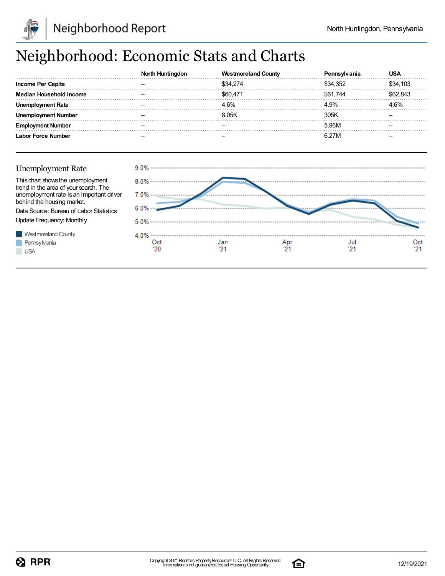

## Neighborhood: Economic Stats and Charts

|                                                                            | North Huntingdon | <b>Westmoreland County</b>               | Pennsylvania | <b>USA</b> |
|----------------------------------------------------------------------------|------------------|------------------------------------------|--------------|------------|
| <b>Income Per Capita</b>                                                   |                  | \$34,274                                 | \$34,352     | \$34,103   |
| <b>Median Household Income</b>                                             |                  | \$60,471                                 | \$61,744     | \$62,843   |
| <b>Unemployment Rate</b>                                                   |                  | 4.6%                                     | 4.9%         | 4.6%       |
| <b>Unemployment Number</b>                                                 |                  | 8.05K                                    | 305K         |            |
| <b>Employment Number</b>                                                   |                  |                                          | 5.96M        |            |
| <b>Labor Force Number</b>                                                  |                  |                                          | 6.27M        |            |
| <b>Unemployment Rate</b>                                                   |                  | 9.0% …………………………………………………………………………………………… |              |            |
|                                                                            |                  |                                          |              |            |
| This chart shows the unemployment<br>trend in the area of your search. The | 8.0%             |                                          |              |            |
| unemployment rate is an important driver<br>behind the housing market.     | 7.0%             |                                          |              |            |
| Data Source: Bureau of Labor Statistics                                    | 6.0%             |                                          |              |            |
| Update Frequency: Monthly                                                  |                  |                                          |              |            |
| <b>Westmoreland County</b>                                                 | 4.0%             |                                          |              |            |
| Pennsylvania                                                               | Oct              | Jan                                      | Jul<br>Apr   | Oct        |
| <b>USA</b>                                                                 | '20              |                                          | '21          |            |

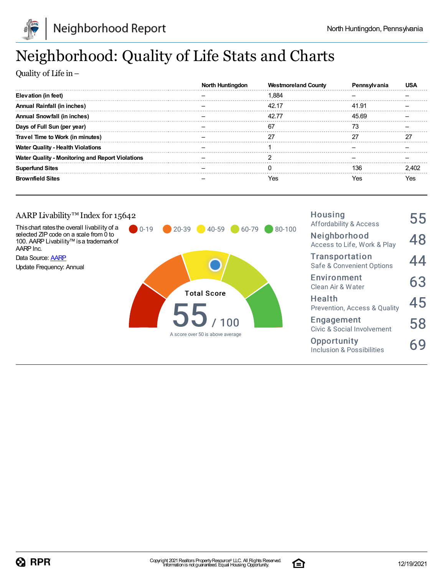

## Neighborhood: Quality of Life Stats and Charts

Quality of Life in–

|                                                         | North Huntinadon | <b>Westmoreland County</b> |       |       |
|---------------------------------------------------------|------------------|----------------------------|-------|-------|
| Elevation (in feet)                                     |                  | .884                       |       |       |
| Annual Rainfall (in inches)                             |                  |                            | 41.91 |       |
| Annual Snowfall (in inches)                             |                  |                            | 45.69 |       |
| Days of Full Sun (per year)                             |                  | 67                         | 73    |       |
| Travel Time to Work (in minutes)                        |                  | ־כ                         |       | דר    |
| <b>Water Quality - Health Violations</b>                |                  |                            |       |       |
| <b>Water Quality - Monitoring and Report Violations</b> |                  |                            |       |       |
| <b>Superfund Sites</b>                                  |                  |                            | 136   | 2 402 |
| <b>Brownfield Sites</b>                                 |                  | res                        | res   | Yes   |